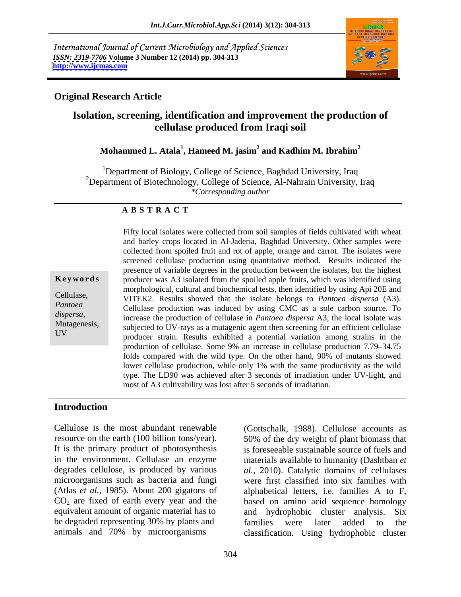International Journal of Current Microbiology and Applied Sciences *ISSN: 2319-7706* **Volume 3 Number 12 (2014) pp. 304-313 <http://www.ijcmas.com>**



#### **Original Research Article**

# **Isolation, screening, identification and improvement the production of cellulase produced from Iraqi soil**

# **Mohammed L. Atala<sup>1</sup> , Hameed M. jasim2 and Kadhim M. Ibrahim<sup>2</sup>**

<sup>1</sup>Department of Biology, College of Science, Baghdad University, Iraq <sup>2</sup>Department of Biotechnology, College of Science, Al-Nahrain University, Iraq *\*Corresponding author*

#### **A B S T R A C T**

**Keywords** producer was A3 isolated from the spoiled apple fruits, which was identified using Cellulase, VITEK2. Results showed that the isolate belongs to *Pantoea dispersa* (A3). *Pantoea* Cellulase production was induced by using CMC as a sole carbon source. To *dispersa,*  increase the production of cellulase in *Pantoea dispersa* A3, the local isolate was Mutagenesis,<br>subjected to UV-rays as a mutagenic agent then screening for an efficient cellulase UV producer strain. Results exhibited a potential variation among strains in the Fifty local isolates were collected from soil samples of fields cultivated with wheat and barley crops located in Al-Jaderia, Baghdad University. Other samples were collected from spoiled fruit and rot of apple, orange and carrot. The isolates were screened cellulase production using quantitative method. Results indicated the presence of variable degrees in the production between the isolates, but the highest morphological, cultural and biochemical tests, then identified by using Api 20E and production of cellulase. Some 9% an increase in cellulase production 7.79–34.75 folds compared with the wild type. On the other hand, 90% of mutants showed lower cellulase production, while only 1% with the same productivity as the wild type. The LD90 was achieved after 3 seconds of irradiation under UV-light, and most of A3 cultivability was lost after 5 seconds of irradiation.

#### **Introduction**

Cellulose is the most abundant renewable (Gottschalk, 1988). Cellulose accounts as resource on the earth (100 billion tons/year). 50% of the dry weight of plant biomass that It is the primary product of photosynthesis is foreseeable sustainable source of fuels and in the environment. Cellulase an enzyme materials available to humanity (Dashtban *et*  degrades cellulose, is produced by various *al.,* 2010). Catalytic domains of cellulases microorganisms such as bacteria and fungi were first classified into six families with (Atlas *et al.,* 1985). About 200 gigatons of alphabetical letters, i.e. families A to F,  $CO<sub>2</sub>$  are fixed of earth every year and the based on amino acid sequence homology equivalent amount of organic material has to and hydrophobic cluster analysis. Six be degraded representing 30% by plants and families were later added to the

animals and 70% by microorganisms classification. Using hydrophobic cluster and hydrophobic cluster analysis. families were later added to the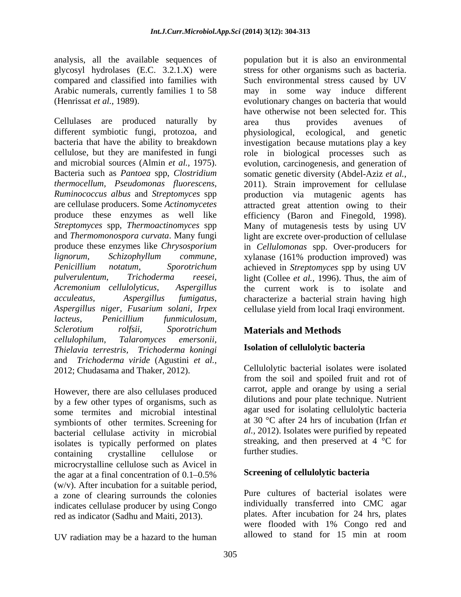analysis, all the available sequences of population but it is also an environmental

Cellulases are produced naturally by different symbiotic fungi, protozoa, and physiological, ecological, and genetic *Aspergillus niger, Fusarium solani, Irpex* cellulase yield from local Iraqi environment. *lacteus, Penicillium funmiculosum, Sclerotium rolfsii, Sporotrichum cellulophilum, Talaromyces emersonii, Thielavia terrestris, Trichoderma koningi* and *Trichoderma viride* (Agustini *et al.,* 2012; Chudasama and Thaker, 2012).

However, there are also cellulases produced by a few other types of organisms, such as some termites and microbial intestinal symbionts of other termites. Screening for bacterial cellulase activity in microbial isolates is typically performed on plates streaking, and<br>containing example of the studies. containing crystalline cellulose or further studies. microcrystalline cellulose such as Avicel in the agar at a final concentration of  $0.1 - 0.5\%$ (w/v). After incubation for a suitable period, a zone of clearing surrounds the colonies indicates cellulase producer by using Congo

UV radiation may be a hazard to the human

glycosyl hydrolases (E.C. 3.2.1.X) were stress for other organisms such as bacteria. compared and classified into families with Such environmental stress caused by UV Arabic numerals, currently families 1 to 58 may in some way induce different (Henrissat *et al.,* 1989). evolutionary changes on bacteria that would bacteria that have the ability to breakdown investigation because mutations play a key cellulose, but they are manifested in fungi role in biological processes such as and microbial sources (Almin *et al.,* 1975). evolution, carcinogenesis, and generation of Bacteria such as *Pantoea* spp, *Clostridium*  somatic genetic diversity (Abdel-Aziz *et al., thermocellum, Pseudomonas fluorescens,* 2011). Strain improvement for cellulase *Ruminococcus albus* and *Streptomyces* spp production via mutagenic agents has are cellulase producers. Some *Actinomycetes* attracted great attention owing to their produce these enzymes as well like efficiency (Baron and Finegold, 1998). *Streptomyces* spp, *Thermoactinomyces* spp Many of mutagenesis tests by using UV and *Thermomonospora curvata*. Many fungi light are excrete over-production of cellulase produce these enzymes like *Chrysosporium*  in *Cellulomonas* spp. Over-producers for *lignorum, Schizophyllum commune,* xylanase (161% production improved) was *Penicillium notatum, Sporotrichum* achieved in *Streptomyces* spp by using UV *pulverulentum, Trichoderma reesei,* light (Collee *et al.,* 1996). Thus, the aim of *Acremonium cellulolyticus, Aspergillus* the current work is to isolate and *acculeatus, Aspergillus fumigatus,* characterize a bacterial strain having high have otherwise not been selected for. This area thus provides avenues of physiological, ecological, and genetic

# **Materials and Methods**

# **Isolation of cellulolytic bacteria**

Cellulolytic bacterial isolates were isolated from the soil and spoiled fruit and rot of carrot, apple and orange by using a serial dilutions and pour plate technique. Nutrient agar used for isolating cellulolytic bacteria at 30 °C after 24 hrs of incubation (Irfan *et al.,* 2012). Isolates were purified by repeated streaking, and then preserved at 4 °C for further studies.

# **Screening of cellulolytic bacteria**

red as indicator (Sadhu and Maiti, 2013). Plates. After incubation for 24 hrs, plates were flooded with 1% Congo red and Pure cultures of bacterial isolates were individually transferred into CMC agar plates. After incubation for 24 hrs, plates were flooded with 1% Congo red and allowed to stand for 15 min at room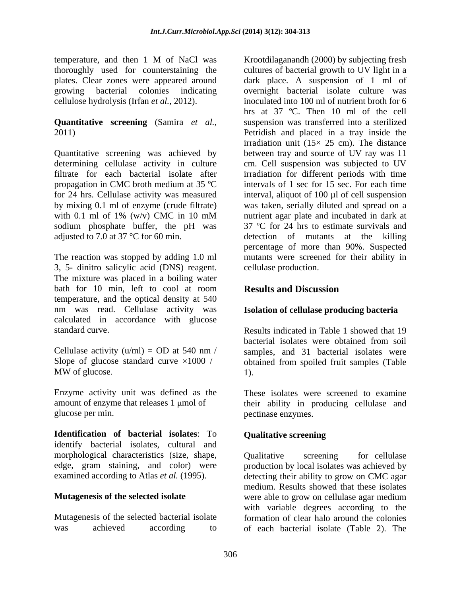temperature, and then 1 M of NaCl was Krootdilaganandh (2000) by subjecting fresh

# **Quantitative screening** (Samira *et al.,*

Quantitative screening was achieved by filtrate for each bacterial isolate after for 24 hrs. Cellulase activity was measured sodium phosphate buffer, the pH was

3, 5- dinitro salicylic acid (DNS) reagent. The mixture was placed in a boiling water bath for 10 min, left to cool at room **Results and Discussion** temperature, and the optical density at 540 nm was read. Cellulase activity was calculated in accordance with glucose

Enzyme activity unit was defined as the

**Identification of bacterial isolates**: To identify bacterial isolates, cultural and morphological characteristics (size, shape,

thoroughly used for counterstaining the cultures of bacterial growth to UV light in a plates. Clear zones were appeared around dark place. A suspension of 1 ml of growing bacterial colonies indicating overnight bacterial isolate culture was cellulose hydrolysis (Irfan *et al.,* 2012). inoculated into 100 ml of nutrient broth for 6 2011) Petridish and placed in a tray inside the determining cellulase activity in culture cm. Cell suspension was subjected to UV propagation in CMC broth medium at 35 ºC intervals of 1 sec for 15 sec. For each time by mixing 0.1 ml of enzyme (crude filtrate) was taken, serially diluted and spread on a with 0.1 ml of 1% (w/v) CMC in 10 mM nutrient agar plate and incubated in dark at adjusted to 7.0 at 37 °C for 60 min. detection of mutants at the killing The reaction was stopped by adding 1.0 ml mutants were screened for their ability in Krootdilaganandh (2000) by subjecting fresh hrs at 37 ºC. Then 10 ml of the cell suspension was transferred into a sterilized irradiation unit  $(15 \times 25 \text{ cm})$ . The distance between tray and source of UV ray was 11 irradiation for different periods with time interval, aliquot of 100 µl of cell suspension nutrient agar plate and incubated in dark at 37 ºC for 24 hrs to estimate survivals and percentage of more than 90%. Suspected cellulase production.

# **Results and Discussion**

### **Isolation of cellulase producing bacteria**

standard curve. Results indicated in Table 1 showed that 19 Cellulase activity  $(u/ml) = OD$  at 540 nm / samples, and 31 bacterial isolates were Slope of glucose standard curve  $\times 1000$  / obtained from spoiled fruit samples (Table MW of glucose.  $1)$ . bacterial isolates were obtained from soil 1).

amount of enzyme that releases 1 µmol of their ability in producing cellulase and glucose per min. pectinase enzymes. These isolates were screened to examine

# **Qualitative screening**

edge, gram staining, and color) were production by local isolates was achieved by examined according to Atlas *et al.* (1995). detecting their ability to grow on CMC agar **Mutagenesis of the selected isolate** were able to grow on cellulase agar medium Mutagenesis of the selected bacterial isolate formation of clear halo around the colonies was achieved according to of each bacterial isolate (Table 2). TheQualitative screening for cellulase medium. Results showed that these isolates with variable degrees according to the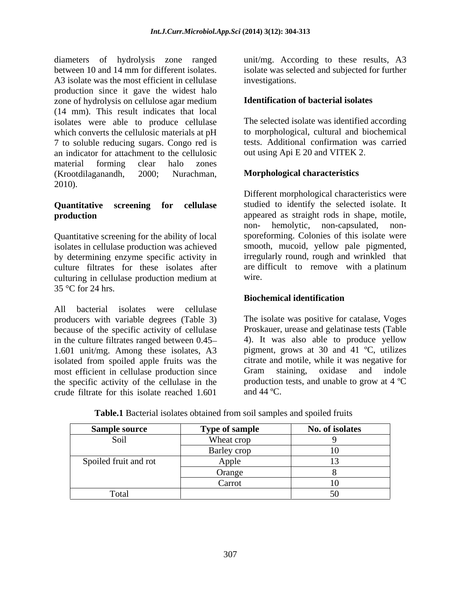diameters of hydrolysis zone ranged unit/mg. According to these results, A3 between 10 and 14 mm for different isolates. isolate was selected and subjected for further A3 isolate was the most efficient in cellulase production since it gave the widest halo zone of hydrolysis on cellulose agar medium (14 mm). This result indicates that local isolates were able to produce cellulase which converts the cellulosic materials at pH 7 to soluble reducing sugars. Congo red is an indicator for attachment to the cellulosic material forming clear halo zones (Krootdilaganandh, 2000; Nurachman, **Morphological characteristics**<br>2010).

Quantitative screening for the ability of local isolates in cellulase production was achieved by determining enzyme specific activity in culture filtrates for these isolates after culturing in cellulase production medium at 35 °C for 24 hrs.

All bacterial isolates were cellulase producers with variable degrees (Table 3) because of the specific activity of cellulase in the culture filtrates ranged between 0.45 1.601 unit/mg. Among these isolates, A3 isolated from spoiled apple fruits was the most efficient in cellulase production since Gram staining, oxidase and indole the specific activity of the cellulase in the production<br>crude filtrate for this isolate reached  $1.601$  and  $44^{\circ}$ C. crude filtrate for this isolate reached 1.601

investigations.

### **Identification of bacterial isolates**

The selected isolate was identified according to morphological, cultural and biochemical tests. Additional confirmation was carried out using Api E 20 and VITEK 2

### **Morphological characteristics**

**Quantitative screening for cellulase** studied to identify the selected isolate. It **production**<br>**production**<br>**production**<br>**production**<br>**production**<br>**production**<br>**production**<br>**production**<br>**production**<br>**production**<br>**production**<br>**production**<br>**production**<br>**production**<br>**production**<br>**production**<br>**production**<br> Different morphological characteristics were appeared as straight rods in shape, motile, non- hemolytic, non-capsulated, non sporeforming. Colonies of this isolate were smooth, mucoid, yellow pale pigmented, irregularly round, rough and wrinkled that are difficult to remove with a platinum wire.

### **Biochemical identification**

The isolate was positive for catalase, Voges Proskauer, urease and gelatinase tests (Table 4). It was also able to produce yellow pigment, grows at 30 and 41 ºC, utilizes citrate and motile, while it was negative for Gram staining, oxidase and indole production tests, and unable to grow at 4 ºC and  $44 \text{ °C}$ .

| <b>Sample source</b>  | Type of sample | No. of isolates |
|-----------------------|----------------|-----------------|
| Soil                  | Wheat crop     |                 |
|                       | Barley crop    |                 |
| Spoiled fruit and rot | Apple          |                 |
|                       | Orange         |                 |
|                       | Carrot         |                 |
| Total                 |                |                 |

**Table.1** Bacterial isolates obtained from soil samples and spoiled fruits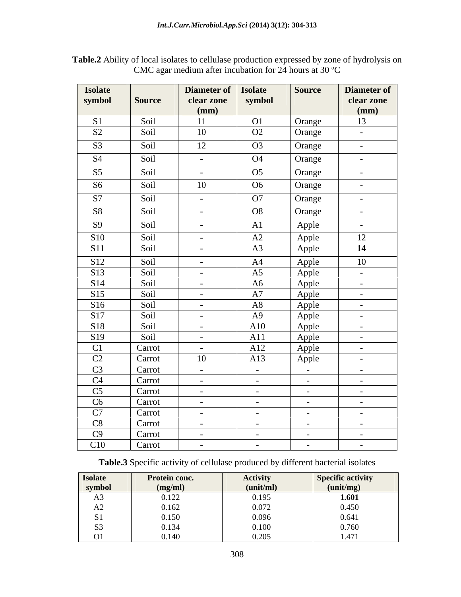| <b>Isolate</b><br>symbol | <b>Source</b>    | Diameter of<br>clear zone<br>(mm) | <b>Isolate</b><br>symbol | <b>Source</b>    | Diameter of<br>clear zone<br>(mm) |
|--------------------------|------------------|-----------------------------------|--------------------------|------------------|-----------------------------------|
| S1                       | Soil             | 11                                | <b>O1</b>                | Orange           | 13                                |
| S <sub>2</sub>           | Soil             | 10                                | O2                       | Orange           | $\sim$                            |
| S <sub>3</sub>           | Soil             | 12                                | O <sub>3</sub>           | Orange           | $\sim$                            |
| S <sub>4</sub>           | Soil             | $\sim$ $-$                        | <b>O4</b>                | Orange           | $\sim$ $-$                        |
| S <sub>5</sub>           | Soil             | $\sim$                            | O <sub>5</sub>           | Orange           | $\sim$                            |
| S <sub>6</sub>           | Soil             | 10                                | O <sub>6</sub>           | Orange           | $\sim$                            |
| S7                       | Soil             | $\sim$                            | O7                       | Orange           | $\sim$ $-$                        |
| S <sub>8</sub>           | Soil             | $\sim$ $-$                        | O8                       | Orange           | $\sim$                            |
| <b>S9</b>                | Soil             | $\sim$ $-$                        | A1                       | Apple            | $\sim$ $\sim$                     |
| <b>S10</b>               | Soil             | $\sim$ $-$                        | A2                       | Apple            | 12                                |
| <b>S11</b>               | Soil             | $\sim$ $-$                        | A3                       | Apple            | 14                                |
| S12                      | Soil             | $\sim$ $ \sim$                    | A4                       | Apple            | 10                                |
| S13                      | Soil             | $\sim$ $-$                        | A5                       | Apple            | $\sim$ $-$                        |
| S14                      | Soil             | $\sim$ $-$                        | A6                       | Apple            | $\sim$                            |
| S15                      | Soil             | $\sim$                            | A7                       | Apple            | $\sim$ $-$                        |
| S <sub>16</sub>          | Soil             | $\sim$                            | A8                       | Apple            | $\sim$                            |
| <b>S17</b>               | Soil             | $\sim$ $ \sim$                    | A9                       | Apple            | $\sim$ $ \sim$                    |
| S18                      | Soil             | $\sim$ $-$                        | A10                      | Apple            | $\sim$ $-$                        |
| S <sub>19</sub>          | Soil             | $\sim$ $-$                        | A11                      | Apple            | $\sim$ $-$                        |
| C1                       | Carrot           | $\sim$                            | A12                      | Apple            | $\sim$ $-$                        |
| C2<br>C <sub>3</sub>     | Carrot<br>Carrot | 10                                | A13                      | Apple            | $\sim$                            |
| C4                       | Carrot           | $\sim 100$<br>$\sim$ $-$          | $\sim$ $-$<br>$\sim$ $-$ | $\sim$<br>$\sim$ | $\sim$ $-$<br>$\sim$              |
| C <sub>5</sub>           | Carrot           | $\sim$                            | $\sim$                   | $\sim$           | $\sim$                            |
| C6                       | Carrot           | $\sim$                            | $\sim$                   | $\sim$           | $\sim$                            |
| C7                       | Carrot           | $\sim$ $-$                        | $\sim$ $-$               | $\sim$           | $\sim$                            |
| C8                       | Carrot           | $\sim 100$                        | $\sim$ $-$               | $\sim$           | $\sim$ $-$                        |
| C9                       | Carrot           | $\sim$ $-$                        | $\sim$ $-$               | $\sim$           | $\sim$                            |
| C10                      | Carrot           | $\sim$                            | $\sim$                   | $\sim$           | $\sim$                            |

**Table.2** Ability of local isolates to cellulase production expressed by zone of hydrolysis on CMC agar medium after incubation for 24 hours at 30 ºC

**Table.3** Specific activity of cellulase produced by different bacterial isolates

| <b>Isolate</b> | Protein conc. | <b>Activity</b>        | Specific activity |
|----------------|---------------|------------------------|-------------------|
| <u>symbol</u>  | (mg/ml)       | (unit/ml)              | (unit/mg)         |
|                | 0.122         | 0.195                  | 1.601             |
| .              | 0.162         | 0.072                  | 0.450             |
|                | 0.150         | 0.096                  | 0.641             |
|                | 0.134         | 0.100                  | 0.760             |
| ີ              | 0.140         | 0.20<br>$U. \angle U.$ | 1.47'             |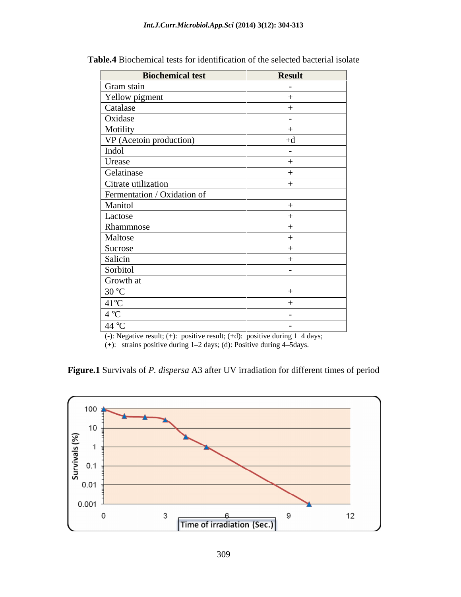| <b>Biochemical test</b>     | <b>Result</b>            |
|-----------------------------|--------------------------|
| Gram stain                  | $\sim$                   |
| Yellow pigment              |                          |
| Catalase                    |                          |
| Oxidase                     | $\sim$                   |
| Motility                    |                          |
| VP (Acetoin production)     | $+d$                     |
| Indol                       | $\sim$                   |
| Urease                      |                          |
| Gelatinase                  |                          |
| Citrate utilization         |                          |
| Fermentation / Oxidation of |                          |
| Manitol                     |                          |
| Lactose                     |                          |
| Rhammnose                   |                          |
| Maltose                     |                          |
| Sucrose                     |                          |
| Salicin                     |                          |
| Sorbitol                    | $\overline{\phantom{0}}$ |
| Growth at                   |                          |
| 30 °C                       |                          |
| $41^{\circ}C$               |                          |
| 4 °C                        | $\sim$ $-$               |
| 44 °C                       | $\sim$                   |

**Table.4** Biochemical tests for identification of the selected bacterial isolate

(-): Negative result;  $(+)$ : positive result;  $(+d)$ : positive during  $1-4$  days;

(+): strains positive during  $1-2$  days; (d): Positive during  $4-5$ days.

**Figure.1** Survivals of *P. dispersa* A3 after UV irradiation for different times of period

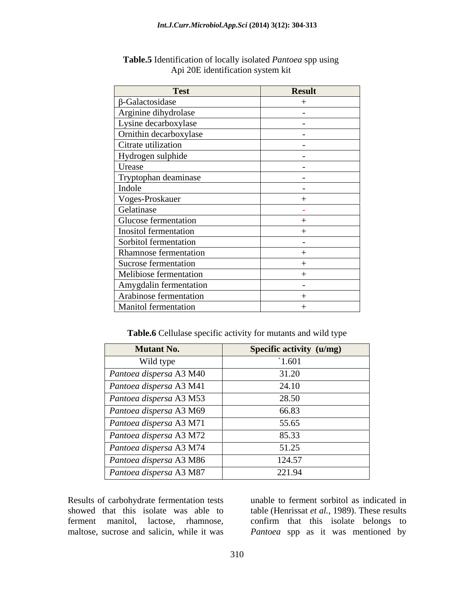| <b>Test</b>            | <b>Result</b>            |
|------------------------|--------------------------|
| $\beta$ -Galactosidase |                          |
| Arginine dihydrolase   | $\overline{\phantom{0}}$ |
| Lysine decarboxylase   | $\sim$ $-$               |
| Ornithin decarboxylase | $\overline{\phantom{0}}$ |
| Citrate utilization    | $\overline{\phantom{0}}$ |
| Hydrogen sulphide      | $\sim$                   |
| Urease                 | $\overline{\phantom{0}}$ |
| Tryptophan deaminase   | $\sim$                   |
| Indole                 | $\sim$                   |
| Voges-Proskauer        |                          |
| Gelatinase             |                          |
| Glucose fermentation   |                          |
| Inositol fermentation  |                          |
| Sorbitol fermentation  | $\sim$                   |
| Rhamnose fermentation  |                          |
| Sucrose fermentation   |                          |
| Melibiose fermentation |                          |
| Amygdalin fermentation | $\overline{\phantom{0}}$ |
| Arabinose fermentation |                          |
| Manitol fermentation   |                          |

#### **Table.5** Identification of locally isolated *Pantoea* spp using Api 20E identification system kit

**Table.6** Cellulase specific activity for mutants and wild type

| <b>Mutant No.</b>       | Specific activity (u/mg) |
|-------------------------|--------------------------|
| Wild type               | 1.601                    |
| Pantoea dispersa A3 M40 | 31.20                    |
| Pantoea dispersa A3 M41 | 24.10                    |
| Pantoea dispersa A3 M53 | 28.50                    |
| Pantoea dispersa A3 M69 | 66.83                    |
| Pantoea dispersa A3 M71 | 55.65                    |
| Pantoea dispersa A3 M72 | 85.33                    |
| Pantoea dispersa A3 M74 | 51.25                    |
| Pantoea dispersa A3 M86 | 124.57                   |
| Pantoea dispersa A3 M87 | 221.94                   |

Results of carbohydrate fermentation tests unable to ferment sorbitol as indicated in showed that this isolate was able to table (Henrissat *et al.,* 1989). These results ferment manitol, lactose, rhamnose, confirm that this isolate belongs to maltose, sucrose and salicin, while it was *Pantoea* spp as it was mentioned by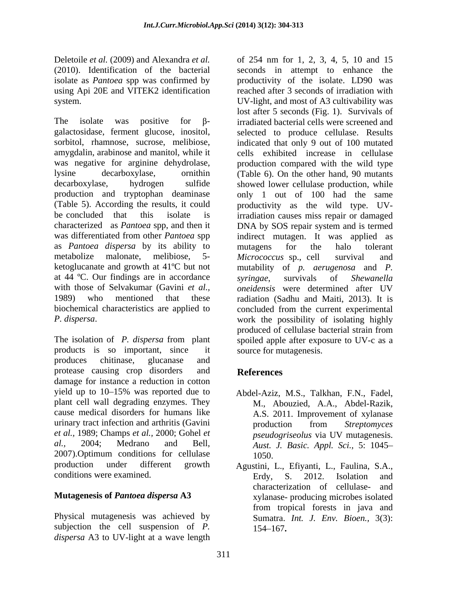using Api 20E and VITEK2 identification

The isolate was positive for  $\beta$ - irradiated bacterial cells were screened and galactosidase, ferment glucose, inositol, sorbitol, rhamnose, sucrose, melibiose, indicated that only 9 out of 100 mutated amygdalin, arabinose and manitol, while it cells exhibited increase in cellulase was negative for arginine dehydrolase, production compared with the wild type lysine decarboxylase, ornithin (Table 6). On the other hand, 90 mutants decarboxylase, hydrogen sulfide showed lower cellulase production, while production and tryptophan deaminase only 1 out of 100 had the same (Table 5). According the results, it could productivity as the wild type. UVbe concluded that this isolate is irradiation causes miss repair or damaged characterized as *Pantoea* spp, and then it DNA by SOS repair system and is termed was differentiated from other *Pantoea* spp indirect mutagen. It was applied as as *Pantoea dispersa* by its ability to metabolize malonate, melibiose, 5- Micrococcus sp., cell survival and ketoglucanate and growth at 41ºC but not mutability of *p. aerugenosa* and *P.* at 44 °C. Our findings are in accordance syringae, survivals of Shewanella with those of Selvakumar (Gavini *et al., oneidensis* were determined after UV 1989) who mentioned that these radiation (Sadhu and Maiti, 2013). It is biochemical characteristics are applied to concluded from the current experimental

products is so important, since it produces chitinase, glucanase and protease causing crop disorders and damage for instance a reduction in cotton yield up to 10–15% was reported due to Abdel-Aziz, M.S., Talkhan, F.N., Fadel, plant cell wall degrading enzymes. They cause medical disorders for humans like urinary tract infection and arthritis (Gavini production from Streptomyces *et al.,* 1989; Champs *et al.,* 2000; Gohel *et*  al., 2004; Medrano and Bell, Aust. J. Basic. Appl. Sci., 5: 1045–<br>2007).Optimum conditions for cellulase 1050. production under different growth Agustini, L., Efiyanti, L., Faulina, S.A., conditions were examined. Erdy, S. 2012. Isolation and

Physical mutagenesis was achieved by subjection the cell suspension of *P*. 154–167. *dispersa* A3 to UV-light at a wave length

Deletoile *et al.* (2009) and Alexandra *et al.*  of 254 nm for 1, 2, 3, 4, 5, 10 and 15 (2010). Identification of the bacterial seconds in attempt to enhance the isolate as *Pantoea* spp was confirmed by productivity of the isolate. LD90 was system. UV-light, and most of A3 cultivability was *P. dispersa.* Work the possibility of isolating highly produced of cellulase bacterial strain from produced of cellulase bacterial strain from spoiled apple after exposure to UV-c as a reached after 3 seconds of irradiation with lost after 5 seconds (Fig. 1). Survivals of selected to produce cellulase. Results mutagens for the halo tolerant *Micrococcus* sp., cell survival and *syringae*, survivals of *Shewanella oneidensis* were determined after UV work the possibility of isolating highly produced of cellulase bacterial strain from spoiled apple after exposure to UV-c as a source for mutagenesis.

# **References**

- Abdel-Aziz, M.S., Talkhan, F.N., Fadel, M., Abouzied, A.A., Abdel-Razik, A.S. 2011. Improvement of xylanase production from *Streptomyces pseudogriseolus* via UV mutagenesis. *Aust. J. Basic. Appl. Sci.,* 5: 1045 1050.
- **Mutagenesis of** *Pantoea dispersa* **A3** xylanase- producing microbes isolated Erdy, S. 2012. Isolation and characterization of cellulase- and from tropical forests in java and Sumatra. *Int. J. Env. Bioen.,* 3(3):  $154 - 167$ .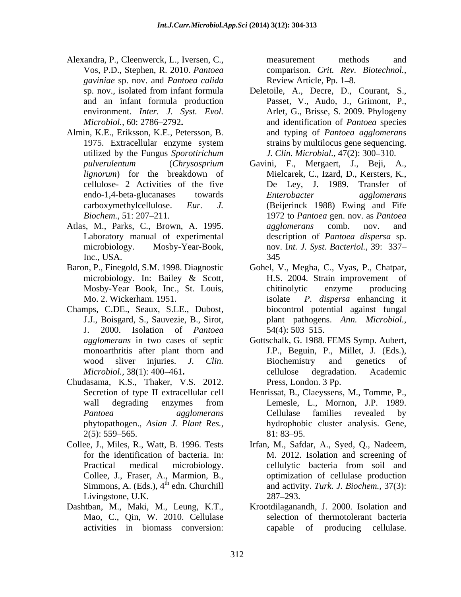- Alexandra, P., Cleenwerck, L., Iversen, C., Vos, P.D., Stephen, R. 2010. *Pantoea gaviniae* sp. nov. and *Pantoea calida*
- Almin, K.E., Eriksson, K.E., Petersson, B. utilized by the Fungus *Sporotirichum*
- Atlas, M., Parks, C., Brown, A. 1995. *agglomerans* comb. nov. and
- microbiology. In: Bailey & Scott,
- Champs, C.DE., Seaux, S.LE., Dubost, J. 2000. Isolation of *Pantoea*
- Chudasama, K.S., Thaker, V.S. 2012. phytopathogen., *Asian J. Plant Res.,*
- Simmons, A. (Eds.),  $4<sup>th</sup>$  edn. Churchill Livingstone, U.K. 287–293.
- Dashtban, M., Maki, M., Leung, K.T., Mao, C., Qin, W. 2010. Cellulase

measurement methods and comparison. *Crit. Rev. Biotechnol.,* Review Article, Pp. 1–8.

- sp. nov., isolated from infant formula Deletoile, A., Decre, D., Courant, S., Passet, V., Audo, J., Grimont, P., and an infant formula production environment. *Inter. J. Syst. Evol.* Arlet, G., Brisse, S. 2009. Phylogeny *Microbiol.,* 60: 2786 2792 and identification of *Pantoea* species 1975. Extracellular enzyme system strains by multilocus gene sequencing. and typing of *Pantoea agglomerans* strains by multilocus gene sequencing. *J. Clin. Microbial., 47(2): 300-310.*
- *pulverulentum* (*Chrysosprium*  Gavini, F., Mergaert, J., Beji, A., *lignorum*) for the breakdown of Mielcarek, C., Izard, D., Kersters, K., cellulose- 2 Activities of the five De Ley, J. 1989. Transfer of endo-1,4-beta-glucanases towards carboxymethylcellulose. *Eur. J.* (Beijerinck 1988) Ewing and Fife *Biochem.,* 51: 207 211. 1972 to *Pantoea* gen. nov. as *Pantoea*  Laboratory manual of experimental description of *Pantoea dispersa* sp. microbiology. Mosby-Year-Book, nov. I*nt. J. Syst. Bacteriol.,* 39: 337 Inc., USA. 345 *Enterobacter agglomerans agglomerans* comb. nov. and 345
- Baron, P., Finegold, S.M. 1998. Diagnostic Gohel, V., Megha, C., Vyas, P., Chatpar, Mosby-Year Book, Inc., St. Louis, Mo. 2. Wickerham. 1951. isolate *P. dispersa* enhancing it J.J., Boisgard, S., Sauvezie, B., Sirot, plant pathogens. *Ann. Microbiol.,* H.S. 2004. Strain improvement of chitinolytic enzyme producing biocontrol potential against fungal  $54(4)$ : 503–515.
	- *agglomerans* in two cases of septic Gottschalk, G. 1988.FEMS Symp. Aubert, monoarthritis after plant thorn and J.P., Beguin, P., Millet, J. (Eds.), wood sliver injuries. *J. Clin. Microbiol.*, 38(1): 400–461. **Example 31 contract and the example of the example of the example of the example of the example of the example of the example of the example of the example of the example of the example of th** Biochemistry and genetics of cellulose degradation. Academic Press, London. 3 Pp.
	- Secretion of type II extracellular cell Henrissat, B., Claeyssens, M., Tomme, P., wall degrading enzymes from *Pantoea agglomerans* Cellulase families revealed by  $2(5)$ : 559–565. 81: 83–95. Lemesle, L., Mornon, J.P. 1989. Cellulase families revealed by hydrophobic cluster analysis. Gene, 81: 83–95.
- Collee, J., Miles, R., Watt, B. 1996. Tests Irfan, M., Safdar, A., Syed, Q., Nadeem, for the identification of bacteria. In: M. 2012. Isolation and screening of Practical medical microbiology. cellulytic bacteria from soil and Collee, J., Fraser, A., Marmion, B., optimization of cellulase production cellulytic bacteria from soil and and activity. *Turk. J. Biochem.,* 37(3): 287 293.
	- activities in biomass conversion: Krootdilaganandh, J. 2000. Isolation and selection of thermotolerant bacteria capable of producing cellulase.